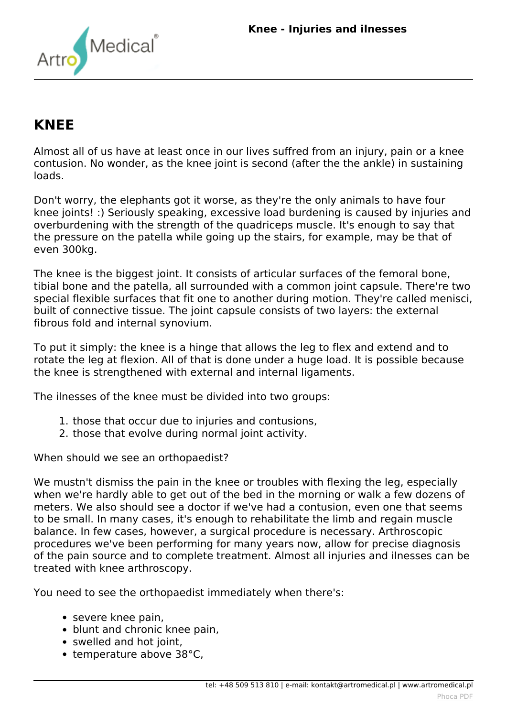

# **KNEE**

*Almost all of us have at least once in our lives suffred from an injury, pain or a knee contusion. No wonder, as the knee joint is second (after the the ankle) in sustaining loads.*

*Don't worry, the elephants got it worse, as they're the only animals to have four knee joints! :) Seriously speaking, excessive load burdening is caused by injuries and overburdening with the strength of the quadriceps muscle. It's enough to say that the pressure on the patella while going up the stairs, for example, may be that of even 300kg.*

*The knee is the biggest joint. It consists of articular surfaces of the femoral bone, tibial bone and the patella, all surrounded with a common joint capsule. There're two special flexible surfaces that fit one to another during motion. They're called menisci, built of connective tissue. The joint capsule consists of two layers: the external fibrous fold and internal synovium.*

*To put it simply: the knee is a hinge that allows the leg to flex and extend and to rotate the leg at flexion. All of that is done under a huge load. It is possible because the knee is strengthened with external and internal ligaments.*

*The ilnesses of the knee must be divided into two groups:*

- *1. those that occur due to injuries and contusions,*
- *2. those that evolve during normal joint activity.*

*When should we see an orthopaedist?*

*We mustn't dismiss the pain in the knee or troubles with flexing the leg, especially when we're hardly able to get out of the bed in the morning or walk a few dozens of meters. We also should see a doctor if we've had a contusion, even one that seems to be small. In many cases, it's enough to rehabilitate the limb and regain muscle balance. In few cases, however, a surgical procedure is necessary. Arthroscopic procedures we've been performing for many years now, allow for precise diagnosis of the pain source and to complete treatment. Almost all injuries and ilnesses can be treated with knee arthroscopy.*

*You need to see the orthopaedist immediately when there's:*

- *severe knee pain,*
- *blunt and chronic knee pain,*
- *swelled and hot joint,*
- *temperature above 38°C,*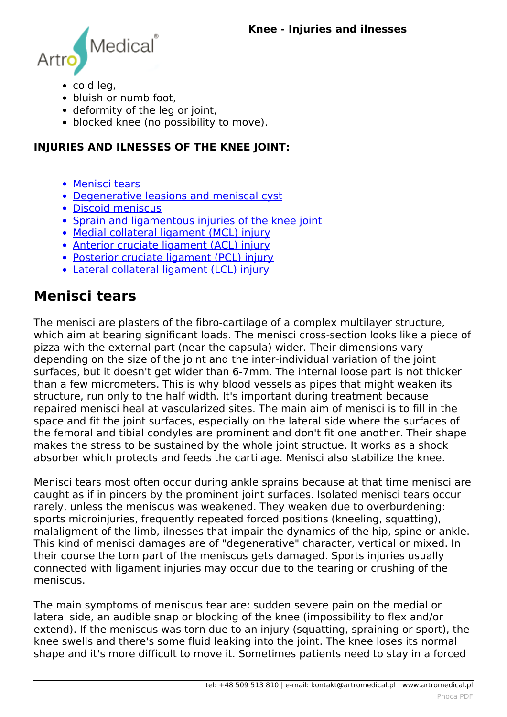<span id="page-1-0"></span>

- *cold leg,*
- *bluish or numb foot,*
- *deformity of the leg or joint,*
- *blocked knee (no possibility to move).*

#### **INJURIES AND ILNESSES OF THE KNEE JOINT:**

- *[Menisci tears](#page-1-0)*
- *[Degenerative leasions and meniscal cyst](#page-1-0)*
- *[Discoid meniscus](#page-1-0)*
- *[Sprain and ligamentous injuries of the knee joint](#page-1-0)*
- *[Medial collateral ligament \(MCL\) injury](#page-1-0)*
- *[Anterior cruciate ligament \(ACL\) injury](#page-1-0)*
- *[Posterior cruciate ligament \(PCL\) injury](#page-1-0)*
- *[Lateral collateral ligament \(LCL\) injury](#page-1-0)*

#### **Menisci tears**

*The menisci are plasters of the fibro-cartilage of a complex multilayer structure, which aim at bearing significant loads. The menisci cross-section looks like a piece of pizza with the external part (near the capsula) wider. Their dimensions vary depending on the size of the joint and the inter-individual variation of the joint surfaces, but it doesn't get wider than 6-7mm. The internal loose part is not thicker than a few micrometers. This is why blood vessels as pipes that might weaken its structure, run only to the half width. It's important during treatment because repaired menisci heal at vascularized sites. The main aim of menisci is to fill in the space and fit the joint surfaces, especially on the lateral side where the surfaces of the femoral and tibial condyles are prominent and don't fit one another. Their shape makes the stress to be sustained by the whole joint structue. It works as a shock absorber which protects and feeds the cartilage. Menisci also stabilize the knee.*

*Menisci tears most often occur during ankle sprains because at that time menisci are caught as if in pincers by the prominent joint surfaces. Isolated menisci tears occur rarely, unless the meniscus was weakened. They weaken due to overburdening: sports microinjuries, frequently repeated forced positions (kneeling, squatting), malaligment of the limb, ilnesses that impair the dynamics of the hip, spine or ankle. This kind of menisci damages are of "degenerative" character, vertical or mixed. In their course the torn part of the meniscus gets damaged. Sports injuries usually connected with ligament injuries may occur due to the tearing or crushing of the meniscus.*

*The main symptoms of meniscus tear are: sudden severe pain on the medial or lateral side, an audible snap or blocking of the knee (impossibility to flex and/or extend). If the meniscus was torn due to an injury (squatting, spraining or sport), the knee swells and there's some fluid leaking into the joint. The knee loses its normal shape and it's more difficult to move it. Sometimes patients need to stay in a forced*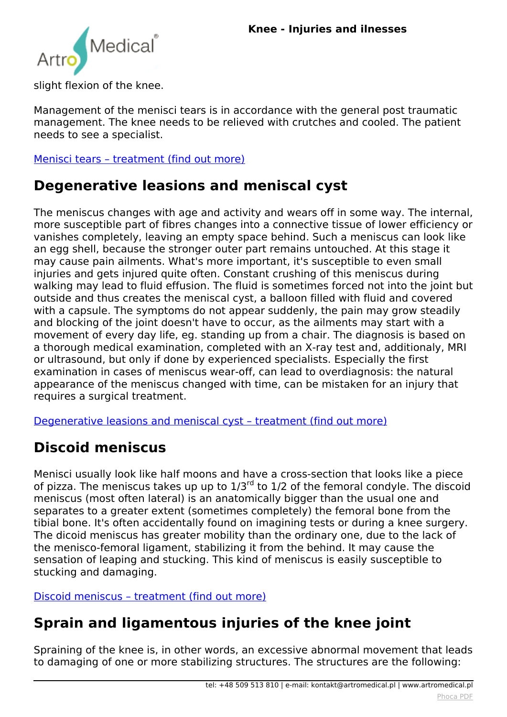

*slight flexion of the knee.*

*Management of the menisci tears is in accordance with the general post traumatic management. The knee needs to be relieved with crutches and cooled. The patient needs to see a specialist.*

*[Menisci tears – treatment \(find out more\)](index.php?option=com_content&view=article&id=147:knee-treatment&catid=9:articles&Itemid=359#menisci_tears)*

#### **Degenerative leasions and meniscal cyst**

*The meniscus changes with age and activity and wears off in some way. The internal, more susceptible part of fibres changes into a connective tissue of lower efficiency or vanishes completely, leaving an empty space behind. Such a meniscus can look like an egg shell, because the stronger outer part remains untouched. At this stage it may cause pain ailments. What's more important, it's susceptible to even small injuries and gets injured quite often. Constant crushing of this meniscus during walking may lead to fluid effusion. The fluid is sometimes forced not into the joint but outside and thus creates the meniscal cyst, a balloon filled with fluid and covered with a capsule. The symptoms do not appear suddenly, the pain may grow steadily and blocking of the joint doesn't have to occur, as the ailments may start with a movement of every day life, eg. standing up from a chair. The diagnosis is based on a thorough medical examination, completed with an X-ray test and, additionaly, MRI or ultrasound, but only if done by experienced specialists. Especially the first examination in cases of meniscus wear-off, can lead to overdiagnosis: the natural appearance of the meniscus changed with time, can be mistaken for an injury that requires a surgical treatment.*

*[Degenerative leasions and meniscal cyst – treatment \(find out more\)](index.php?option=com_content&view=article&id=147:knee-treatment&catid=9:articles&Itemid=359#meniscal_cyst)*

### **Discoid meniscus**

*Menisci usually look like half moons and have a cross-section that looks like a piece of pizza. The meniscus takes up up to 1/3rd to 1/2 of the femoral condyle. The discoid meniscus (most often lateral) is an anatomically bigger than the usual one and separates to a greater extent (sometimes completely) the femoral bone from the tibial bone. It's often accidentally found on imagining tests or during a knee surgery. The dicoid meniscus has greater mobility than the ordinary one, due to the lack of the menisco-femoral ligament, stabilizing it from the behind. It may cause the sensation of leaping and stucking. This kind of meniscus is easily susceptible to stucking and damaging.*

*[Discoid meniscus – treatment \(find out more\)](index.php?option=com_content&view=article&id=147:knee-treatment&catid=9:articles&Itemid=359#discoid_meniscus)*

### **Sprain and ligamentous injuries of the knee joint**

*Spraining of the knee is, in other words, an excessive abnormal movement that leads to damaging of one or more stabilizing structures. The structures are the following:*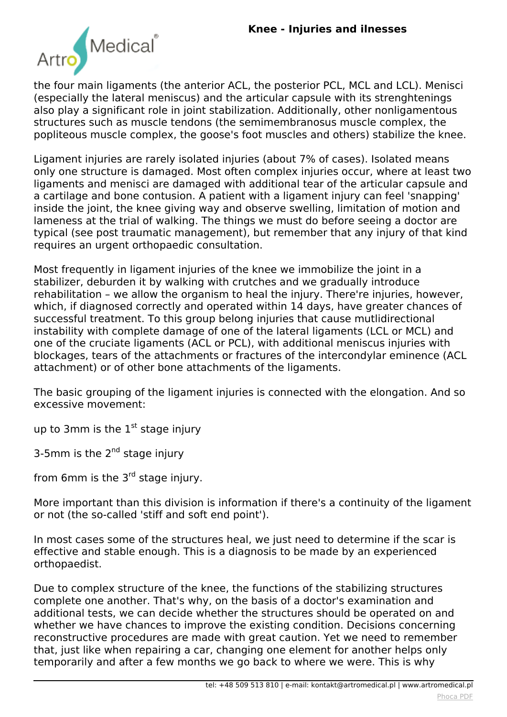

*the four main ligaments (the anterior ACL, the posterior PCL, MCL and LCL). Menisci (especially the lateral meniscus) and the articular capsule with its strenghtenings also play a significant role in joint stabilization. Additionally, other nonligamentous structures such as muscle tendons (the semimembranosus muscle complex, the popliteous muscle complex, the goose's foot muscles and others) stabilize the knee.*

*Ligament injuries are rarely isolated injuries (about 7% of cases). Isolated means only one structure is damaged. Most often complex injuries occur, where at least two ligaments and menisci are damaged with additional tear of the articular capsule and a cartilage and bone contusion. A patient with a ligament injury can feel 'snapping' inside the joint, the knee giving way and observe swelling, limitation of motion and lameness at the trial of walking. The things we must do before seeing a doctor are typical (see post traumatic management), but remember that any injury of that kind requires an urgent orthopaedic consultation.*

*Most frequently in ligament injuries of the knee we immobilize the joint in a stabilizer, deburden it by walking with crutches and we gradually introduce rehabilitation – we allow the organism to heal the injury. There're injuries, however, which, if diagnosed correctly and operated within 14 days, have greater chances of successful treatment. To this group belong injuries that cause mutlidirectional instability with complete damage of one of the lateral ligaments (LCL or MCL) and one of the cruciate ligaments (ACL or PCL), with additional meniscus injuries with blockages, tears of the attachments or fractures of the intercondylar eminence (ACL attachment) or of other bone attachments of the ligaments.*

*The basic grouping of the ligament injuries is connected with the elongation. And so excessive movement:*

*up to 3mm is the 1st stage injury*

*3-5mm is the 2nd stage injury*

*from 6mm is the 3<sup>rd</sup> stage injury.* 

*More important than this division is information if there's a continuity of the ligament or not (the so-called 'stiff and soft end point').*

*In most cases some of the structures heal, we just need to determine if the scar is effective and stable enough. This is a diagnosis to be made by an experienced orthopaedist.*

*Due to complex structure of the knee, the functions of the stabilizing structures complete one another. That's why, on the basis of a doctor's examination and additional tests, we can decide whether the structures should be operated on and whether we have chances to improve the existing condition. Decisions concerning reconstructive procedures are made with great caution. Yet we need to remember that, just like when repairing a car, changing one element for another helps only temporarily and after a few months we go back to where we were. This is why*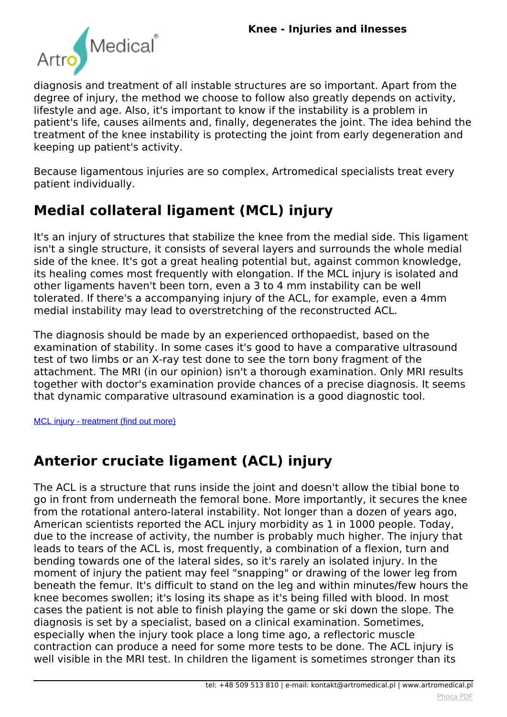

*diagnosis and treatment of all instable structures are so important. Apart from the degree of injury, the method we choose to follow also greatly depends on activity, lifestyle and age. Also, it's important to know if the instability is a problem in patient's life, causes ailments and, finally, degenerates the joint. The idea behind the treatment of the knee instability is protecting the joint from early degeneration and keeping up patient's activity.*

*Because ligamentous injuries are so complex, Artromedical specialists treat every patient individually.*

# **Medial collateral ligament (MCL) injury**

*It's an injury of structures that stabilize the knee from the medial side. This ligament isn't a single structure, it consists of several layers and surrounds the whole medial side of the knee. It's got a great healing potential but, against common knowledge, its healing comes most frequently with elongation. If the MCL injury is isolated and other ligaments haven't been torn, even a 3 to 4 mm instability can be well tolerated. If there's a accompanying injury of the ACL, for example, even a 4mm medial instability may lead to overstretching of the reconstructed ACL.*

*The diagnosis should be made by an experienced orthopaedist, based on the examination of stability. In some cases it's good to have a comparative ultrasound test of two limbs or an X-ray test done to see the torn bony fragment of the attachment. The MRI (in our opinion) isn't a thorough examination. Only MRI results together with doctor's examination provide chances of a precise diagnosis. It seems that dynamic comparative ultrasound examination is a good diagnostic tool.*

[MCL injury - treatment \(find out more\)](index.php?option=com_content&view=article&id=147:knee-treatment&catid=9:articles&Itemid=359#mcl)

# **Anterior cruciate ligament (ACL) injury**

*The ACL is a structure that runs inside the joint and doesn't allow the tibial bone to go in front from underneath the femoral bone. More importantly, it secures the knee from the rotational antero-lateral instability. Not longer than a dozen of years ago, American scientists reported the ACL injury morbidity as 1 in 1000 people. Today, due to the increase of activity, the number is probably much higher. The injury that leads to tears of the ACL is, most frequently, a combination of a flexion, turn and bending towards one of the lateral sides, so it's rarely an isolated injury. In the moment of injury the patient may feel "snapping" or drawing of the lower leg from beneath the femur. It's difficult to stand on the leg and within minutes/few hours the knee becomes swollen; it's losing its shape as it's being filled with blood. In most cases the patient is not able to finish playing the game or ski down the slope. The diagnosis is set by a specialist, based on a clinical examination. Sometimes, especially when the injury took place a long time ago, a reflectoric muscle contraction can produce a need for some more tests to be done. The ACL injury is well visible in the MRI test. In children the ligament is sometimes stronger than its*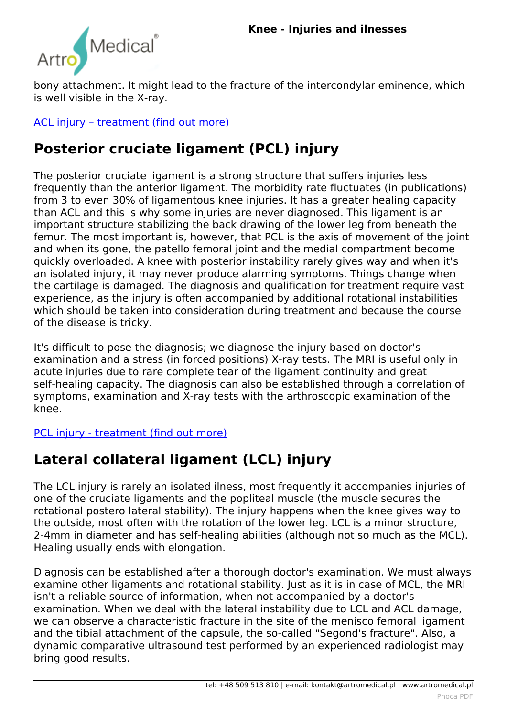

*bony attachment. It might lead to the fracture of the intercondylar eminence, which is well visible in the X-ray.*

*[ACL injury – treatment \(find out more\)](index.php?option=com_content&view=article&id=147:knee-treatment&catid=9:articles&Itemid=359#acl)*

# **Posterior cruciate ligament (PCL) injury**

*The posterior cruciate ligament is a strong structure that suffers injuries less frequently than the anterior ligament. The morbidity rate fluctuates (in publications) from 3 to even 30% of ligamentous knee injuries. It has a greater healing capacity than ACL and this is why some injuries are never diagnosed. This ligament is an important structure stabilizing the back drawing of the lower leg from beneath the femur. The most important is, however, that PCL is the axis of movement of the joint and when its gone, the patello femoral joint and the medial compartment become quickly overloaded. A knee with posterior instability rarely gives way and when it's an isolated injury, it may never produce alarming symptoms. Things change when the cartilage is damaged. The diagnosis and qualification for treatment require vast experience, as the injury is often accompanied by additional rotational instabilities which should be taken into consideration during treatment and because the course of the disease is tricky.*

*It's difficult to pose the diagnosis; we diagnose the injury based on doctor's examination and a stress (in forced positions) X-ray tests. The MRI is useful only in acute injuries due to rare complete tear of the ligament continuity and great self-healing capacity. The diagnosis can also be established through a correlation of symptoms, examination and X-ray tests with the arthroscopic examination of the knee.*

*[PCL injury - treatment \(find out more\)](index.php?option=com_content&view=article&id=147:knee-treatment&catid=9:articles&Itemid=359#pcl)*

# **Lateral collateral ligament (LCL) injury**

*The LCL injury is rarely an isolated ilness, most frequently it accompanies injuries of one of the cruciate ligaments and the popliteal muscle (the muscle secures the rotational postero lateral stability). The injury happens when the knee gives way to the outside, most often with the rotation of the lower leg. LCL is a minor structure, 2-4mm in diameter and has self-healing abilities (although not so much as the MCL). Healing usually ends with elongation.*

*Diagnosis can be established after a thorough doctor's examination. We must always examine other ligaments and rotational stability. Just as it is in case of MCL, the MRI isn't a reliable source of information, when not accompanied by a doctor's examination. When we deal with the lateral instability due to LCL and ACL damage, we can observe a characteristic fracture in the site of the menisco femoral ligament and the tibial attachment of the capsule, the so-called "Segond's fracture". Also, a dynamic comparative ultrasound test performed by an experienced radiologist may bring good results.*